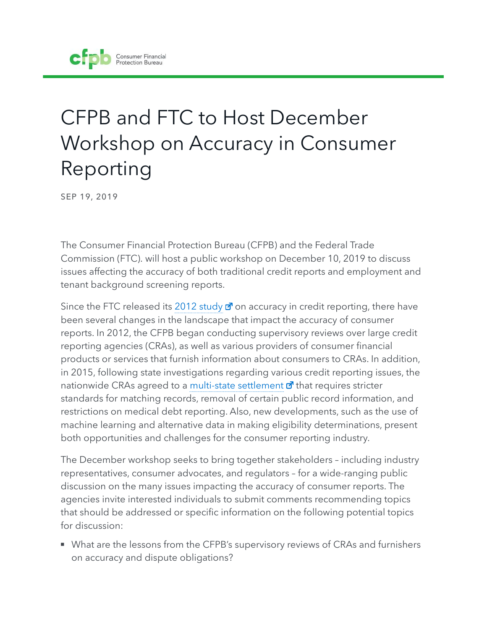# CFPB and FTC to Host December Workshop on Accuracy in Consumer Reporting

SEP 19, 2019

The Consumer Financial Protection Bureau (CFPB) and the Federal Trade Commission (FTC). will host a public workshop on December 10, 2019 to discuss issues affecting the accuracy of both traditional credit reports and employment and tenant background screening reports.

Since the FTC released its 2012 study  $\vec{a}$  on accuracy in credit reporting, there have been several changes in the landscape that impact the accuracy of consumer reports. In 2012, the CFPB began conducting supervisory reviews over large credit reporting agencies (CRAs), as well as various providers of consumer financial products or services that furnish information about consumers to CRAs. In addition, in 2015, following state investigations regarding various credit reporting issues, the nationwide CRAs agreed to a multi-state settlement  $\vec{a}$  that requires stricter standards for matching records, removal of certain public record information, and restrictions on medical debt reporting. Also, new developments, such as the use of machine learning and alternative data in making eligibility determinations, present both opportunities and challenges for the consumer reporting industry.

The December workshop seeks to bring together stakeholders – including industry representatives, consumer advocates, and regulators – for a wide-ranging public discussion on the many issues impacting the accuracy of consumer reports. The agencies invite interested individuals to submit comments recommending topics that should be addressed or specific information on the following potential topics for discussion:

■ What are the lessons from the CFPB's supervisory reviews of CRAs and furnishers on accuracy and dispute obligations?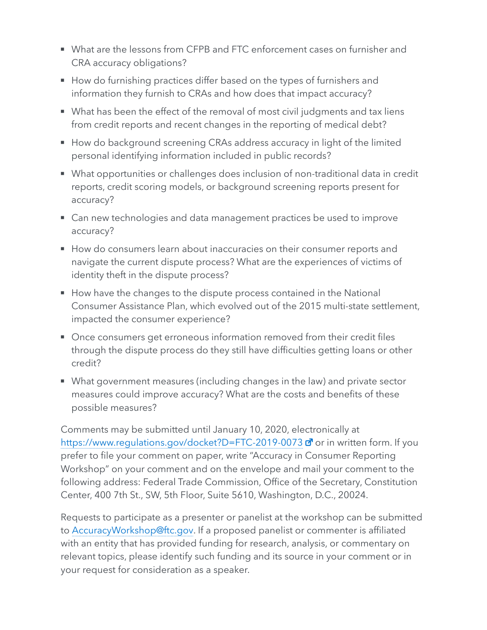- What are the lessons from CFPB and FTC enforcement cases on furnisher and CRA accuracy obligations?
- How do furnishing practices differ based on the types of furnishers and information they furnish to CRAs and how does that impact accuracy?
- What has been the effect of the removal of most civil judgments and tax liens from credit reports and recent changes in the reporting of medical debt?
- How do background screening CRAs address accuracy in light of the limited personal identifying information included in public records?
- What opportunities or challenges does inclusion of non-traditional data in credit reports, credit scoring models, or background screening reports present for accuracy?
- Can new technologies and data management practices be used to improve accuracy?
- How do consumers learn about inaccuracies on their consumer reports and navigate the current dispute process? What are the experiences of victims of identity theft in the dispute process?
- How have the changes to the dispute process contained in the National Consumer Assistance Plan, which evolved out of the 2015 multi-state settlement, impacted the consumer experience?
- Once consumers get erroneous information removed from their credit files through the dispute process do they still have difficulties getting loans or other credit?
- What government measures (including changes in the law) and private sector measures could improve accuracy? What are the costs and benefits of these possible measures?

Comments may be submitted until January 10, 2020, electronically at https://www.regulations.gov/docket?D=FTC-2019-0073 a<sup>7</sup> or in written form. If you prefer to file your comment on paper, write "Accuracy in Consumer Reporting Workshop" on your comment and on the envelope and mail your comment to the following address: Federal Trade Commission, Office of the Secretary, Constitution Center, 400 7th St., SW, 5th Floor, Suite 5610, Washington, D.C., 20024.

Requests to participate as a presenter or panelist at the workshop can be submitted to AccuracyWorkshop@ftc.gov. If a proposed panelist or commenter is affiliated with an entity that has provided funding for research, analysis, or commentary on relevant topics, please identify such funding and its source in your comment or in your request for consideration as a speaker.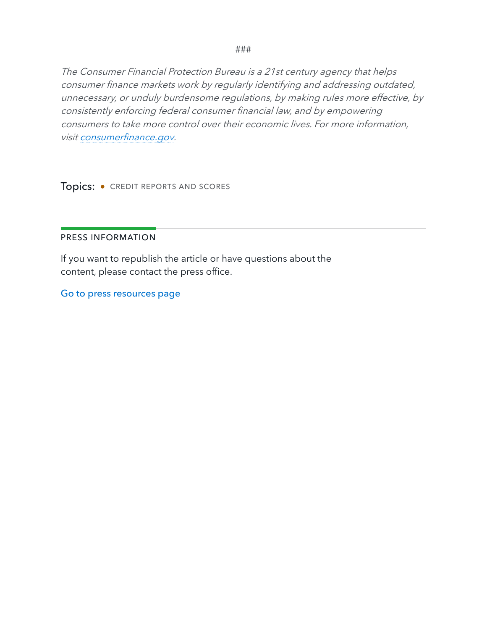###

The Consumer Financial Protection Bureau is a 21st century agency that helps consumer finance markets work by regularly identifying and addressing outdated, unnecessary, or unduly burdensome regulations, by making rules more effective, by consistently enforcing federal consumer financial law, and by empowering consumers to take more control over their economic lives. For more information, visit consumerfinance.gov.

Topics: • CREDIT REPORTS AND SCORES

#### PRESS INFORMATION

If you want to republish the article or have questions about the content, please contact the press office.

Go to press resources page